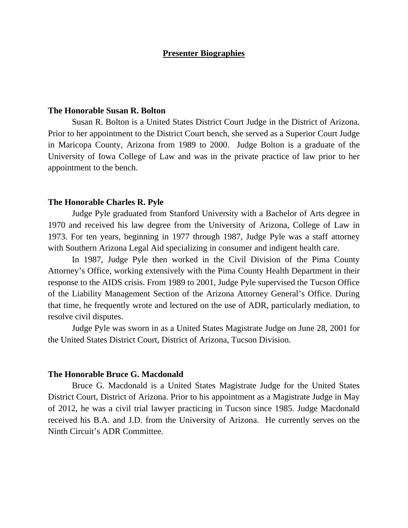### **Presenter Biographies**

### **The Honorable Susan R. Bolton**

 Susan R. Bolton is a United States District Court Judge in the District of Arizona. Prior to her appointment to the District Court bench, she served as a Superior Court Judge in Maricopa County, Arizona from 1989 to 2000. Judge Bolton is a graduate of the University of Iowa College of Law and was in the private practice of law prior to her appointment to the bench.

#### **The Honorable Charles R. Pyle**

 Judge Pyle graduated from Stanford University with a Bachelor of Arts degree in 1970 and received his law degree from the University of Arizona, College of Law in 1973. For ten years, beginning in 1977 through 1987, Judge Pyle was a staff attorney with Southern Arizona Legal Aid specializing in consumer and indigent health care.

 In 1987, Judge Pyle then worked in the Civil Division of the Pima County Attorney's Office, working extensively with the Pima County Health Department in their response to the AIDS crisis. From 1989 to 2001, Judge Pyle supervised the Tucson Office of the Liability Management Section of the Arizona Attorney General's Office. During that time, he frequently wrote and lectured on the use of ADR, particularly mediation, to resolve civil disputes.

 Judge Pyle was sworn in as a United States Magistrate Judge on June 28, 2001 for the United States District Court, District of Arizona, Tucson Division.

### **The Honorable Bruce G. Macdonald**

 Bruce G. Macdonald is a United States Magistrate Judge for the United States District Court, District of Arizona. Prior to his appointment as a Magistrate Judge in May of 2012, he was a civil trial lawyer practicing in Tucson since 1985. Judge Macdonald received his B.A. and J.D. from the University of Arizona. He currently serves on the Ninth Circuit's ADR Committee.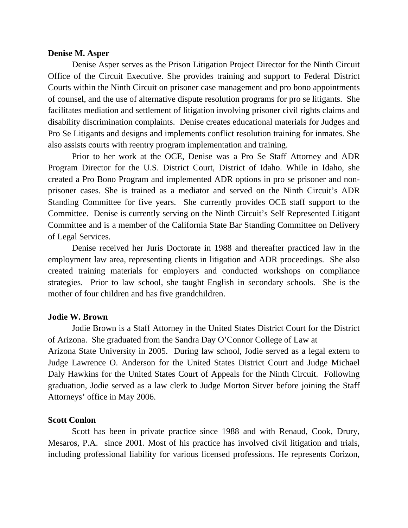#### **Denise M. Asper**

 Denise Asper serves as the Prison Litigation Project Director for the Ninth Circuit Office of the Circuit Executive. She provides training and support to Federal District Courts within the Ninth Circuit on prisoner case management and pro bono appointments of counsel, and the use of alternative dispute resolution programs for pro se litigants. She facilitates mediation and settlement of litigation involving prisoner civil rights claims and disability discrimination complaints. Denise creates educational materials for Judges and Pro Se Litigants and designs and implements conflict resolution training for inmates. She also assists courts with reentry program implementation and training.

 Prior to her work at the OCE, Denise was a Pro Se Staff Attorney and ADR Program Director for the U.S. District Court, District of Idaho. While in Idaho, she created a Pro Bono Program and implemented ADR options in pro se prisoner and nonprisoner cases. She is trained as a mediator and served on the Ninth Circuit's ADR Standing Committee for five years. She currently provides OCE staff support to the Committee. Denise is currently serving on the Ninth Circuit's Self Represented Litigant Committee and is a member of the California State Bar Standing Committee on Delivery of Legal Services.

 Denise received her Juris Doctorate in 1988 and thereafter practiced law in the employment law area, representing clients in litigation and ADR proceedings. She also created training materials for employers and conducted workshops on compliance strategies. Prior to law school, she taught English in secondary schools. She is the mother of four children and has five grandchildren.

### **Jodie W. Brown**

 Jodie Brown is a Staff Attorney in the United States District Court for the District of Arizona. She graduated from the Sandra Day O'Connor College of Law at Arizona State University in 2005. During law school, Jodie served as a legal extern to Judge Lawrence O. Anderson for the United States District Court and Judge Michael Daly Hawkins for the United States Court of Appeals for the Ninth Circuit. Following graduation, Jodie served as a law clerk to Judge Morton Sitver before joining the Staff Attorneys' office in May 2006.

#### **Scott Conlon**

 Scott has been in private practice since 1988 and with Renaud, Cook, Drury, Mesaros, P.A. since 2001. Most of his practice has involved civil litigation and trials, including professional liability for various licensed professions. He represents Corizon,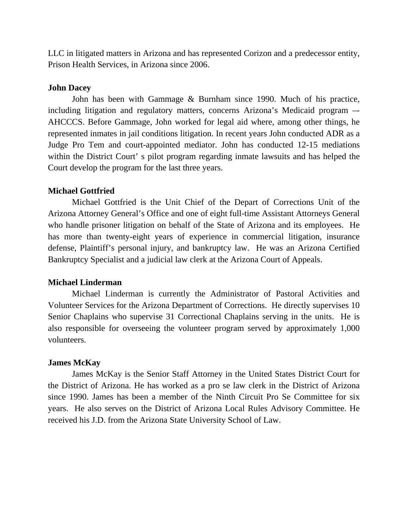LLC in litigated matters in Arizona and has represented Corizon and a predecessor entity, Prison Health Services, in Arizona since 2006.

### **John Dacey**

 John has been with Gammage & Burnham since 1990. Much of his practice, including litigation and regulatory matters, concerns Arizona's Medicaid program –- AHCCCS. Before Gammage, John worked for legal aid where, among other things, he represented inmates in jail conditions litigation. In recent years John conducted ADR as a Judge Pro Tem and court-appointed mediator. John has conducted 12-15 mediations within the District Court' s pilot program regarding inmate lawsuits and has helped the Court develop the program for the last three years.

# **Michael Gottfried**

 Michael Gottfried is the Unit Chief of the Depart of Corrections Unit of the Arizona Attorney General's Office and one of eight full-time Assistant Attorneys General who handle prisoner litigation on behalf of the State of Arizona and its employees. He has more than twenty-eight years of experience in commercial litigation, insurance defense, Plaintiff's personal injury, and bankruptcy law. He was an Arizona Certified Bankruptcy Specialist and a judicial law clerk at the Arizona Court of Appeals.

# **Michael Linderman**

Michael Linderman is currently the Administrator of Pastoral Activities and Volunteer Services for the Arizona Department of Corrections. He directly supervises 10 Senior Chaplains who supervise 31 Correctional Chaplains serving in the units. He is also responsible for overseeing the volunteer program served by approximately 1,000 volunteers.

# **James McKay**

 James McKay is the Senior Staff Attorney in the United States District Court for the District of Arizona. He has worked as a pro se law clerk in the District of Arizona since 1990. James has been a member of the Ninth Circuit Pro Se Committee for six years. He also serves on the District of Arizona Local Rules Advisory Committee. He received his J.D. from the Arizona State University School of Law.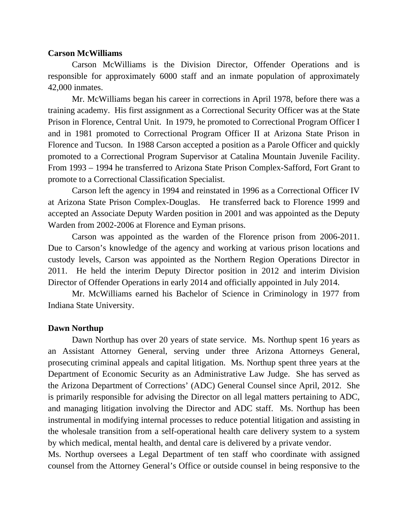### **Carson McWilliams**

 Carson McWilliams is the Division Director, Offender Operations and is responsible for approximately 6000 staff and an inmate population of approximately 42,000 inmates.

 Mr. McWilliams began his career in corrections in April 1978, before there was a training academy. His first assignment as a Correctional Security Officer was at the State Prison in Florence, Central Unit. In 1979, he promoted to Correctional Program Officer I and in 1981 promoted to Correctional Program Officer II at Arizona State Prison in Florence and Tucson. In 1988 Carson accepted a position as a Parole Officer and quickly promoted to a Correctional Program Supervisor at Catalina Mountain Juvenile Facility. From 1993 – 1994 he transferred to Arizona State Prison Complex-Safford, Fort Grant to promote to a Correctional Classification Specialist.

 Carson left the agency in 1994 and reinstated in 1996 as a Correctional Officer IV at Arizona State Prison Complex-Douglas. He transferred back to Florence 1999 and accepted an Associate Deputy Warden position in 2001 and was appointed as the Deputy Warden from 2002-2006 at Florence and Eyman prisons.

 Carson was appointed as the warden of the Florence prison from 2006-2011. Due to Carson's knowledge of the agency and working at various prison locations and custody levels, Carson was appointed as the Northern Region Operations Director in 2011. He held the interim Deputy Director position in 2012 and interim Division Director of Offender Operations in early 2014 and officially appointed in July 2014.

 Mr. McWilliams earned his Bachelor of Science in Criminology in 1977 from Indiana State University.

### **Dawn Northup**

 Dawn Northup has over 20 years of state service. Ms. Northup spent 16 years as an Assistant Attorney General, serving under three Arizona Attorneys General, prosecuting criminal appeals and capital litigation. Ms. Northup spent three years at the Department of Economic Security as an Administrative Law Judge. She has served as the Arizona Department of Corrections' (ADC) General Counsel since April, 2012. She is primarily responsible for advising the Director on all legal matters pertaining to ADC, and managing litigation involving the Director and ADC staff. Ms. Northup has been instrumental in modifying internal processes to reduce potential litigation and assisting in the wholesale transition from a self-operational health care delivery system to a system by which medical, mental health, and dental care is delivered by a private vendor.

Ms. Northup oversees a Legal Department of ten staff who coordinate with assigned counsel from the Attorney General's Office or outside counsel in being responsive to the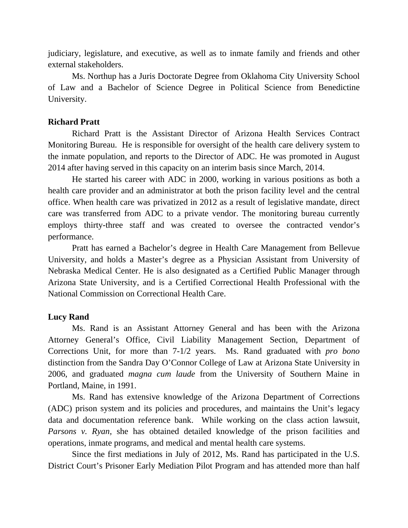judiciary, legislature, and executive, as well as to inmate family and friends and other external stakeholders.

 Ms. Northup has a Juris Doctorate Degree from Oklahoma City University School of Law and a Bachelor of Science Degree in Political Science from Benedictine University.

# **Richard Pratt**

Richard Pratt is the Assistant Director of Arizona Health Services Contract Monitoring Bureau. He is responsible for oversight of the health care delivery system to the inmate population, and reports to the Director of ADC. He was promoted in August 2014 after having served in this capacity on an interim basis since March, 2014.

 He started his career with ADC in 2000, working in various positions as both a health care provider and an administrator at both the prison facility level and the central office. When health care was privatized in 2012 as a result of legislative mandate, direct care was transferred from ADC to a private vendor. The monitoring bureau currently employs thirty-three staff and was created to oversee the contracted vendor's performance.

 Pratt has earned a Bachelor's degree in Health Care Management from Bellevue University, and holds a Master's degree as a Physician Assistant from University of Nebraska Medical Center. He is also designated as a Certified Public Manager through Arizona State University, and is a Certified Correctional Health Professional with the National Commission on Correctional Health Care.

## **Lucy Rand**

Ms. Rand is an Assistant Attorney General and has been with the Arizona Attorney General's Office, Civil Liability Management Section, Department of Corrections Unit, for more than 7-1/2 years. Ms. Rand graduated with *pro bono* distinction from the Sandra Day O'Connor College of Law at Arizona State University in 2006, and graduated *magna cum laude* from the University of Southern Maine in Portland, Maine, in 1991.

 Ms. Rand has extensive knowledge of the Arizona Department of Corrections (ADC) prison system and its policies and procedures, and maintains the Unit's legacy data and documentation reference bank. While working on the class action lawsuit, *Parsons v. Ryan*, she has obtained detailed knowledge of the prison facilities and operations, inmate programs, and medical and mental health care systems.

 Since the first mediations in July of 2012, Ms. Rand has participated in the U.S. District Court's Prisoner Early Mediation Pilot Program and has attended more than half